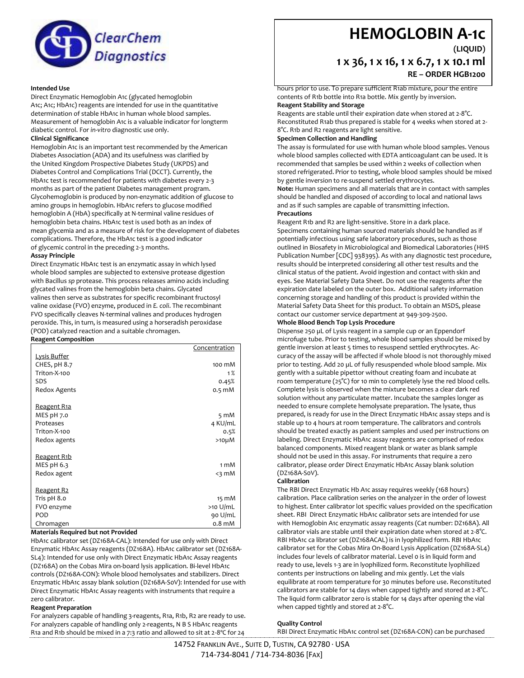

### **Intended Use**

Direct Enzymatic Hemoglobin A1c (glycated hemoglobin A1c; A1c; HbA1c) reagents are intended for use in the quantitative determination of stable HbA1c in human whole blood samples. Measurement of hemoglobin A1c is a valuable indicator for longterm diabetic control. For *in-vitro* diagnostic use only.

# **Clinical Significance**

Hemoglobin A1c is an important test recommended by the American Diabetes Association (ADA) and its usefulness was clarified by the United Kingdom Prospective Diabetes Study (UKPDS) and Diabetes Control and Complications Trial (DCCT). Currently, the HbA1c test is recommended for patients with diabetes every 2-3 months as part of the patient Diabetes management program. Glycohemoglobin is produced by non-enzymatic addition of glucose to amino groups in hemoglobin. HbA1c refers to glucose modified hemoglobin A (HbA) specifically at N-terminal valine residues of hemoglobin beta chains. HbA1c test is used both as an index of mean glycemia and as a measure of risk for the development of diabetes complications. Therefore, the HbA1c test is a good indicator of glycemic control in the preceding 2-3 months.

#### **Assay Principle**

Direct Enzymatic HbA1c test is an enzymatic assay in which lysed whole blood samples are subjected to extensive protease digestion with Bacillus *sp* protease. This process releases amino acids including glycated valines from the hemoglobin beta chains. Glycated valines then serve as substrates for specific recombinant fructosyl valine oxidase (FVO) enzyme, produced in *E. coli*. The recombinant FVO specifically cleaves N-terminal valines and produces hydrogen peroxide. This, in turn, is measured using a horseradish peroxidase (POD) catalyzed reaction and a suitable chromagen. **Reagent Composition**

|                     | Concentration    |
|---------------------|------------------|
| <b>Lysis Buffer</b> |                  |
| CHES, pH 8.7        | 100 mM           |
| Triton-X-100        | 1%               |
| <b>SDS</b>          | 0.45%            |
| Redox Agents        | $0.5 \text{ mM}$ |
| <u>Reagent R1a</u>  |                  |
| MES pH 7.0          | $5 \text{ mM}$   |
| Proteases           | 4 KU/mL          |
| Triton-X-100        | 0.5%             |
| Redox agents        | $>10\mu$ M       |
| <u>Reagent R1b</u>  |                  |
| MES pH 6.3          | 1 mM             |
| Redox agent         | $<$ 3 mM         |
| <u>Reagent R2</u>   |                  |
| Tris pH 8.0         | 15 mM            |
| FVO enzyme          | $>10$ U/mL       |
| POD                 | 90 U/mL          |
| Chromagen           | $0.8$ m $M$      |

#### **Materials Required but not Provided**

HbA1c calibrator set (DZ168A-CAL): Intended for use only with Direct Enzymatic HbA1c Assay reagents (DZ168A). HbA1c calibrator set (DZ168A-SL4): Intended for use only with Direct Enzymatic HbA1c Assay reagents (DZ168A) on the Cobas Mira on-board lysis application. Bi-level HbA1c controls (DZ168A-CON): Whole blood hemolysates and stabilizers. Direct Enzymatic HbA1c assay blank solution (DZ168A-S0V): Intended for use with Direct Enzymatic HbA1c Assay reagents with instruments that require a zero calibrator.

# **Reagent Preparation**

For analyzers capable of handling 3-reagents, R1a, R1b, R2 are ready to use. For analyzers capable of handling only 2-reagents, N B S HbA1c reagents R1a and R1b should be mixed in a 7:3 ratio and allowed to sit at 2-8ºC for 24

# **HEMOGLOBIN A-1c**

**(LIQUID)**

# **1 x 36, 1 x 16, 1 x 6.7, 1 x 10.1 ml RE – ORDER HGB1200**

hours prior to use. To prepare sufficient R1ab mixture, pour the entire contents of R1b bottle into R1a bottle. Mix gently by inversion. **Reagent Stability and Storage** 

Reagents are stable until their expiration date when stored at 2-8°C. Reconstituted R1ab thus prepared is stable for 4 weeks when stored at 2- 8°C. R1b and R2 reagents are light sensitive.

# **Specimen Collection and Handling**

The assay is formulated for use with human whole blood samples. Venous whole blood samples collected with EDTA anticoagulant can be used. It is recommended that samples be used within 2 weeks of collection when stored refrigerated. Prior to testing, whole blood samples should be mixed by gentle inversion to re-suspend settled erythrocytes.

**Note:** Human specimens and all materials that are in contact with samples should be handled and disposed of according to local and national laws and as if such samples are capable of transmitting infection. **Precautions** 

Reagent R1b and R2 are light-sensitive. Store in a dark place. Specimens containing human sourced materials should be handled as if potentially infectious using safe laboratory procedures, such as those outlined in Biosafety in Microbiological and Biomedical Laboratories (HHS Publication Number [CDC] 938395). As with any diagnostic test procedure, results should be interpreted considering all other test results and the clinical status of the patient. Avoid ingestion and contact with skin and eyes. See Material Safety Data Sheet. Do not use the reagents after the expiration date labeled on the outer box. Additional safety information concerning storage and handling of this product is provided within the Material Safety Data Sheet for this product. To obtain an MSDS, please contact our customer service department at 949-309-2500.

#### **Whole Blood Bench Top Lysis Procedure**

Dispense 250 µL of Lysis reagent in a sample cup or an Eppendorf microfuge tube. Prior to testing, whole blood samples should be mixed by gentle inversion at least 5 times to resuspend settled erythrocytes. Accuracy of the assay will be affected if whole blood is not thoroughly mixed prior to testing. Add 20 µL of fully resuspended whole blood sample. Mix gently with a suitable pipettor without creating foam and incubate at room temperature (25°C) for 10 min to completely lyse the red blood cells. Complete lysis is observed when the mixture becomes a clear dark red solution without any particulate matter. Incubate the samples longer as needed to ensure complete hemolysate preparation. The lysate, thus prepared, is ready for use in the Direct Enzymatic HbA1c assay steps and is stable up to 4 hours at room temperature. The calibrators and controls should be treated exactly as patient samples and used per instructions on labeling. Direct Enzymatic HbA1c assay reagents are comprised of redox balanced components. Mixed reagent blank or water as blank sample should not be used in this assay. For instruments that require a zero calibrator, please order Direct Enzymatic HbA1c Assay blank solution (DZ168A-S0V).

#### **Calibration**

The RBI Direct Enzymatic Hb A1c assay requires weekly (168 hours) calibration. Place calibration series on the analyzer in the order of lowest to highest. Enter calibrator lot specific values provided on the specification sheet. RBI Direct Enzymatic HbA1c calibrator sets are intended for use with Hemoglobin A1c enzymatic assay reagents (Cat number: DZ168A). All calibrator vials are stable until their expiration date when stored at 2-8°C. RBI HbA1c ca librator set (DZ168ACAL) is in lyophilized form. RBI HbA1c calibrator set for the Cobas Mira On-Board Lysis Application (DZ168A-SL4) includes four levels of calibrator material. Level 0 is in liquid form and ready to use, levels 1-3 are in lyophilized form. Reconstitute lyophilized contents per instructions on labeling and mix gently. Let the vials equilibrate at room temperature for 30 minutes before use. Reconstituted calibrators are stable for 14 days when capped tightly and stored at 2-8°C. The liquid form calibrator zero is stable for 14 days after opening the vial when capped tightly and stored at 2-8°C.

## **Quality Control**

RBI Direct Enzymatic HbA1c control set (DZ168A-CON) can be purchased